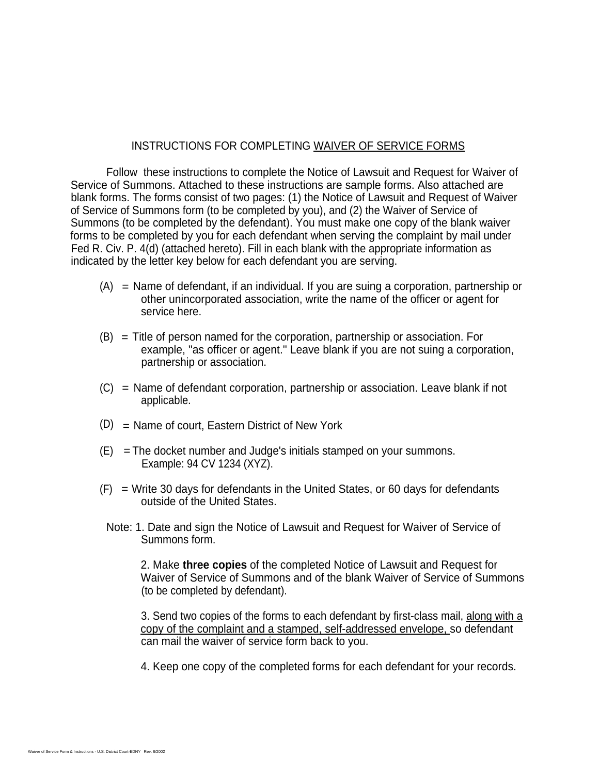# INSTRUCTIONS FOR COMPLETING WAIVER OF SERVICE FORMS

Follow these instructions to complete the Notice of Lawsuit and Request for Waiver of Service of Summons. Attached to these instructions are sample forms. Also attached are blank forms. The forms consist of two pages: (1) the Notice of Lawsuit and Request of Waiver of Service of Summons form (to be completed by you), and (2) the Waiver of Service of Summons (to be completed by the defendant). You must make one copy of the blank waiver forms to be completed by you for each defendant when serving the complaint by mail under Fed R. Civ. P. 4(d) (attached hereto). Fill in each blank with the appropriate information as indicated by the letter key below for each defendant you are serving.

- $(A)$  = Name of defendant, if an individual. If you are suing a corporation, partnership or other unincorporated association, write the name of the officer or agent for service here.
- $(B)$  = Title of person named for the corporation, partnership or association. For example, ''as officer or agent.'' Leave blank if you are not suing a corporation, partnership or association.
- $(C)$  = Name of defendant corporation, partnership or association. Leave blank if not applicable.
- $(D)$  = Name of court, Eastern District of New York
- $(E)$  = The docket number and Judge's initials stamped on your summons. Example: 94 CV 1234 (XYZ).
- $(F)$  = Write 30 days for defendants in the United States, or 60 days for defendants outside of the United States.
- Note: 1. Date and sign the Notice of Lawsuit and Request for Waiver of Service of Summons form.

2. Make **three copies** of the completed Notice of Lawsuit and Request for Waiver of Service of Summons and of the blank Waiver of Service of Summons (to be completed by defendant).

3. Send two copies of the forms to each defendant by first-class mail, along with a copy of the complaint and a stamped, self-addressed envelope, so defendant can mail the waiver of service form back to you.

4. Keep one copy of the completed forms for each defendant for your records.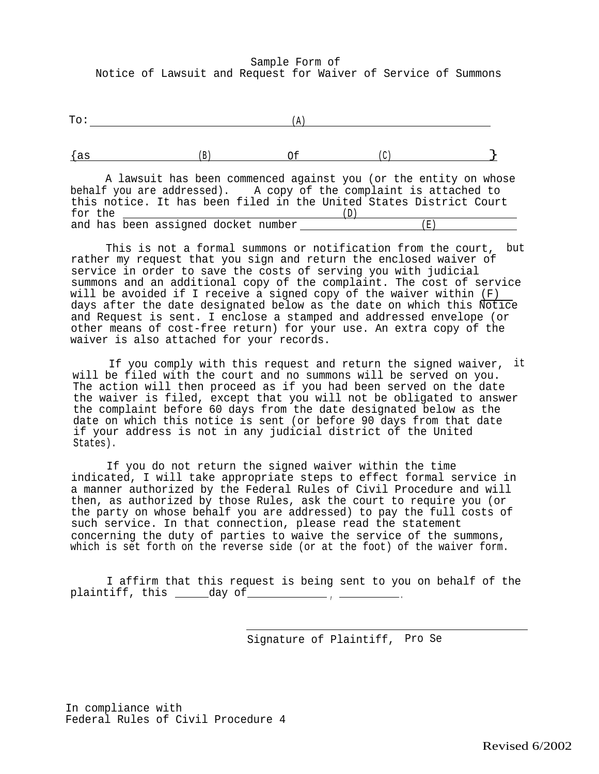#### Sample Form of

| Notice of Lawsuit and Request for Waiver of Service of Summons |  |  |
|----------------------------------------------------------------|--|--|

| To: |                                                                                                                                             | Α |  |  |
|-----|---------------------------------------------------------------------------------------------------------------------------------------------|---|--|--|
| ∤as | R                                                                                                                                           |   |  |  |
|     | A lawsuit has been commenced against you (or the entity on whose<br>hehalf you are addressed) $\Delta$ copy of the complaint is attached to |   |  |  |

behalf you are addressed). A copy of the complaint is attached to this notice. It has been filed in the United States District Court for the  $\begin{array}{ccc} \hline \end{array}$  (D) and has been assigned docket number (E)

This is not a formal summons or notification from the court, but rather my request that you sign and return the enclosed waiver of service in order to save the costs of serving you with judicial summons and an additional copy of the complaint. The cost of service will be avoided if I receive a signed copy of the waiver within (F) days after the date designated below as the date on which this Notice and Request is sent. I enclose a stamped and addressed envelope (or other means of cost-free return) for your use. An extra copy of the waiver is also attached for your records.

If you comply with this request and return the signed waiver, it will be filed with the court and no summons will be served on you. The action will then proceed as if you had been served on the date the waiver is filed, except that you will not be obligated to answer the complaint before 60 days from the date designated below as the date on which this notice is sent (or before 90 days from that date if your address is not in any judicial district of the United States).

If you do not return the signed waiver within the time indicated, I will take appropriate steps to effect formal service in a manner authorized by the Federal Rules of Civil Procedure and will then, as authorized by those Rules, ask the court to require you (or the party on whose behalf you are addressed) to pay the full costs of such service. In that connection, please read the statement concerning the duty of parties to waive the service of the summons, which is set forth on the reverse side (or at the foot) of the waiver form.

I affirm that this request is being sent to you on behalf of the plaintiff, this \_\_\_\_\_day of \_\_\_\_\_\_\_\_\_\_\_\_\_, \_\_\_\_\_\_\_\_\_\_.

Signature of Plaintiff, Pro Se

In compliance with Federal Rules of Civil Procedure 4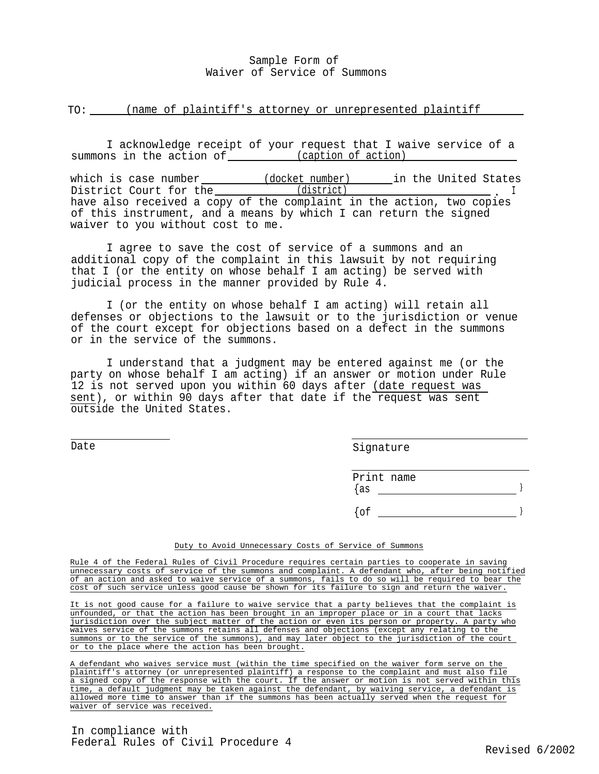## Sample Form of Waiver of Service of Summons

### TO: (name of plaintiff's attorney or unrepresented plaintiff

I acknowledge receipt of your request that I waive service of a summons in the action of (caption of action)

which is case number\_\_\_\_\_\_\_\_\_\_(docket number) \_\_\_\_\_\_in the United States District Court for the (district) <sup>I</sup> have also received a copy of the complaint in the action, two copies of this instrument, and a means by which I can return the signed waiver to you without cost to me. .

I agree to save the cost of service of a summons and an additional copy of the complaint in this lawsuit by not requiring that I (or the entity on whose behalf I am acting) be served with judicial process in the manner provided by Rule 4.

I (or the entity on whose behalf I am acting) will retain all defenses or objections to the lawsuit or to the jurisdiction or venue of the court except for objections based on a defect in the summons or in the service of the summons.

I understand that a judgment may be entered against me (or the party on whose behalf I am acting) if an answer or motion under Rule 12 is not served upon you within 60 days after (date request was sent), or within 90 days after that date if the request was sent outside the United States.

Date Signature

Print name  $\{as \ \_\_$  $\{ of \}$ 

#### Duty to Avoid Unnecessary Costs of Service of Summons

Rule 4 of the Federal Rules of Civil Procedure requires certain parties to cooperate in saving unnecessary costs of service of the summons and complaint. A defendant who, after being notified of an action and asked to waive service of a summons, fails to do so will be required to bear the cost of such service unless good cause be shown for its failure to sign and return the waiver.

It is not good cause for a failure to waive service that a party believes that the complaint is unfounded, or that the action has been brought in an improper place or in a court that lacks jurisdiction over the subject matter of the action or even its person or property. A party who waives service of the summons retains all defenses and objections (except any relating to the summons or to the service of the summons), and may later object to the jurisdiction of the court or to the place where the action has been brought.

A defendant who waives service must (within the time specified on the waiver form serve on the plaintiff's attorney (or unrepresented plaintiff) a response to the complaint and must also file a signed copy of the response with the court. If the answer or motion is not served within this time, a default judgment may be taken against the defendant, by waiving service, a defendant is allowed more time to answer than if the summons has been actually served when the request for waiver of service was received.

In compliance with Federal Rules of Civil Procedure 4 Revised 6/2002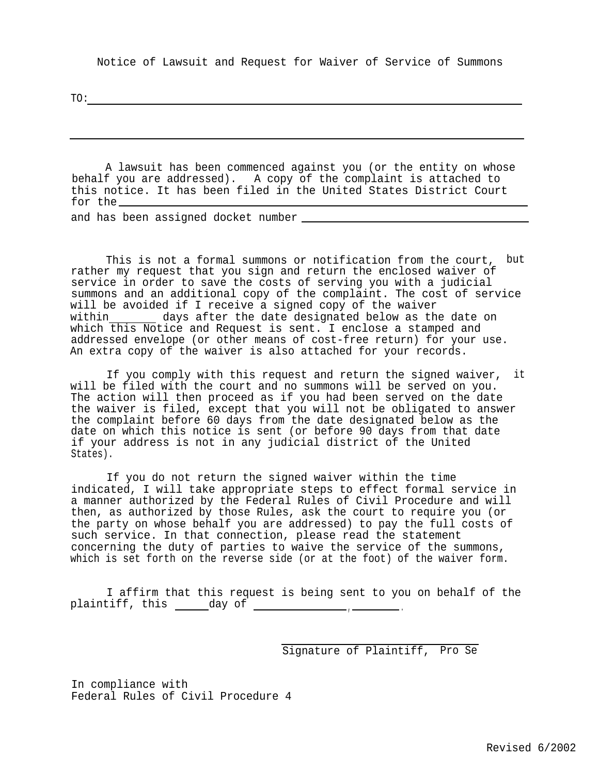Notice of Lawsuit and Request for Waiver of Service of Summons

 $TO:$ 

A lawsuit has been commenced against you (or the entity on whose behalf you are addressed). A copy of the complaint is attached to this notice. It has been filed in the United States District Court for the

and has been assigned docket number

This is not a formal summons or notification from the court, but rather my request that you sign and return the enclosed waiver of service in order to save the costs of serving you with a judicial summons and an additional copy of the complaint. The cost of service will be avoided if I receive a signed copy of the waiver<br>within a days after the date designated below as the days after the date designated below as the date on which this Notice and Request is sent. I enclose a stamped and addressed envelope (or other means of cost-free return) for your use. An extra copy of the waiver is also attached for your records.

If you comply with this request and return the signed waiver, it will be filed with the court and no summons will be served on you. The action will then proceed as if you had been served on the date the waiver is filed, except that you will not be obligated to answer the complaint before 60 days from the date designated below as the date on which this notice is sent (or before 90 days from that date if your address is not in any judicial district of the United States).

If you do not return the signed waiver within the time indicated, I will take appropriate steps to effect formal service in a manner authorized by the Federal Rules of Civil Procedure and will then, as authorized by those Rules, ask the court to require you (or the party on whose behalf you are addressed) to pay the full costs of such service. In that connection, please read the statement concerning the duty of parties to waive the service of the summons, which is set forth on the reverse side (or at the foot) of the waiver form.

I affirm that this request is being sent to you on behalf of the plaintiff, this \_\_\_\_\_day of \_\_\_\_\_\_\_\_\_\_\_\_\_\_\_<sub>,</sub>\_\_\_\_\_\_\_\_\_.

Signature of Plaintiff, Pro Se

In compliance with Federal Rules of Civil Procedure 4